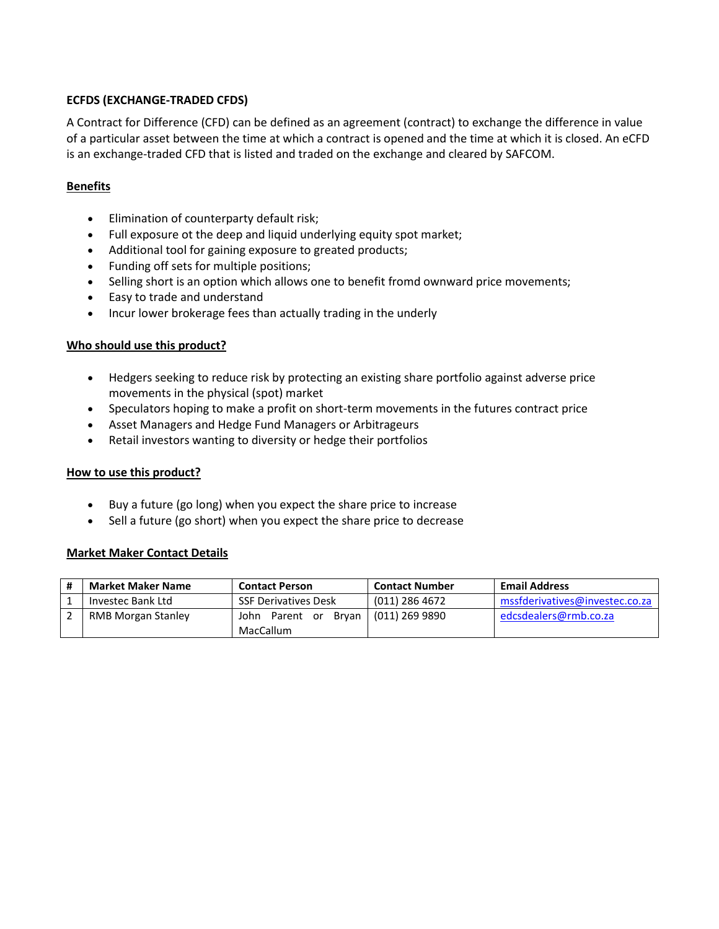## **ECFDS (EXCHANGE-TRADED CFDS)**

A Contract for Difference (CFD) can be defined as an agreement (contract) to exchange the difference in value of a particular asset between the time at which a contract is opened and the time at which it is closed. An eCFD is an exchange-traded CFD that is listed and traded on the exchange and cleared by SAFCOM.

## **Benefits**

- **•** Elimination of counterparty default risk;
- Full exposure ot the deep and liquid underlying equity spot market;
- Additional tool for gaining exposure to greated products;
- Funding off sets for multiple positions;
- Selling short is an option which allows one to benefit fromd ownward price movements;
- Easy to trade and understand
- Incur lower brokerage fees than actually trading in the underly

## **Who should use this product?**

- Hedgers seeking to reduce risk by protecting an existing share portfolio against adverse price movements in the physical (spot) market
- Speculators hoping to make a profit on short-term movements in the futures contract price
- Asset Managers and Hedge Fund Managers or Arbitrageurs
- Retail investors wanting to diversity or hedge their portfolios

#### **How to use this product?**

- Buy a future (go long) when you expect the share price to increase
- Sell a future (go short) when you expect the share price to decrease

#### **Market Maker Contact Details**

| <b>Market Maker Name</b>  | <b>Contact Person</b>       | <b>Contact Number</b>  | <b>Email Address</b>           |
|---------------------------|-----------------------------|------------------------|--------------------------------|
| Investec Bank Ltd         | SSF Derivatives Desk        | (011) 286 4672         | mssfderivatives@investec.co.za |
| <b>RMB Morgan Stanley</b> | John Parent or<br>MacCallum | Bryan   (011) 269 9890 | edcsdealers@rmb.co.za          |